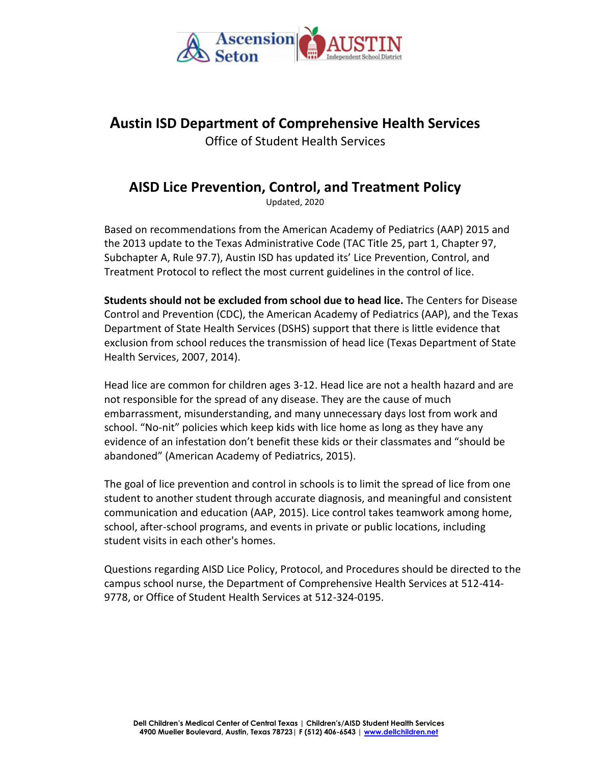

# **Austin ISD Department of Comprehensive Health Services**

Office of Student Health Services

# **AISD Lice Prevention, Control, and Treatment Policy**

Updated, 2020

Based on recommendations from the American Academy of Pediatrics (AAP) 2015 and the 2013 update to the Texas Administrative Code (TAC Title 25, part 1, Chapter 97, Subchapter A, Rule 97.7), Austin ISD has updated its' Lice Prevention, Control, and Treatment Protocol to reflect the most current guidelines in the control of lice.

**Students should not be excluded from school due to head lice.** The Centers for Disease Control and Prevention (CDC), the American Academy of Pediatrics (AAP), and the Texas Department of State Health Services (DSHS) support that there is little evidence that exclusion from school reduces the transmission of head lice (Texas Department of State Health Services, 2007, 2014).

Head lice are common for children ages 3-12. Head lice are not a health hazard and are not responsible for the spread of any disease. They are the cause of much embarrassment, misunderstanding, and many unnecessary days lost from work and school. "No-nit" policies which keep kids with lice home as long as they have any evidence of an infestation don't benefit these kids or their classmates and "should be abandoned" (American Academy of Pediatrics, 2015).

The goal of lice prevention and control in schools is to limit the spread of lice from one student to another student through accurate diagnosis, and meaningful and consistent communication and education (AAP, 2015). Lice control takes teamwork among home, school, after-school programs, and events in private or public locations, including student visits in each other's homes.

Questions regarding AISD Lice Policy, Protocol, and Procedures should be directed to the campus school nurse, the Department of Comprehensive Health Services at 512-414- 9778, or Office of Student Health Services at 512-324-0195.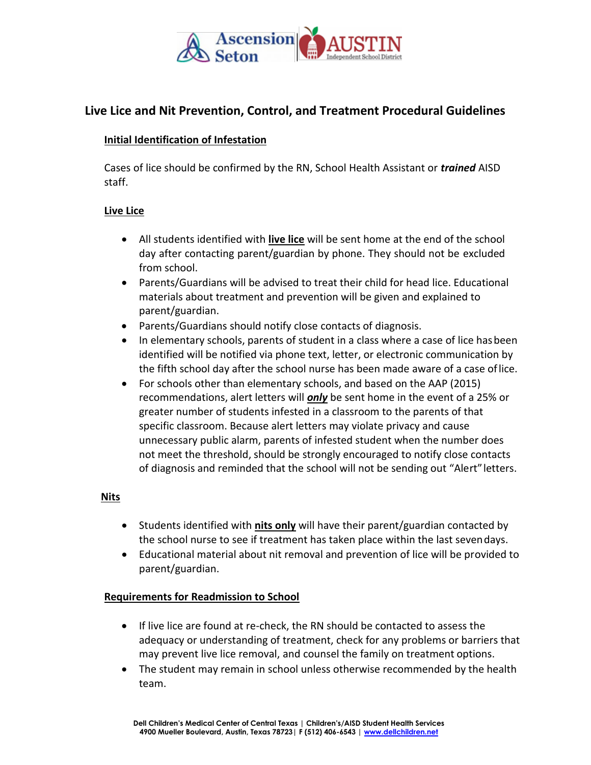

## **Live Lice and Nit Prevention, Control, and Treatment Procedural Guidelines**

#### **Initial Identification of Infestation**

Cases of lice should be confirmed by the RN, School Health Assistant or *trained* AISD staff.

#### **Live Lice**

- All students identified with **live lice** will be sent home at the end of the school day after contacting parent/guardian by phone. They should not be excluded from school.
- Parents/Guardians will be advised to treat their child for head lice. Educational materials about treatment and prevention will be given and explained to parent/guardian.
- Parents/Guardians should notify close contacts of diagnosis.
- In elementary schools, parents of student in a class where a case of lice hasbeen identified will be notified via phone text, letter, or electronic communication by the fifth school day after the school nurse has been made aware of a case oflice.
- For schools other than elementary schools, and based on the AAP (2015) recommendations, alert letters will *only* be sent home in the event of a 25% or greater number of students infested in a classroom to the parents of that specific classroom. Because alert letters may violate privacy and cause unnecessary public alarm, parents of infested student when the number does not meet the threshold, should be strongly encouraged to notify close contacts of diagnosis and reminded that the school will not be sending out "Alert"letters.

#### **Nits**

- Students identified with **nits only** will have their parent/guardian contacted by the school nurse to see if treatment has taken place within the last sevendays.
- Educational material about nit removal and prevention of lice will be provided to parent/guardian.

#### **Requirements for Readmission to School**

- If live lice are found at re-check, the RN should be contacted to assess the adequacy or understanding of treatment, check for any problems or barriers that may prevent live lice removal, and counsel the family on treatment options.
- The student may remain in school unless otherwise recommended by the health team.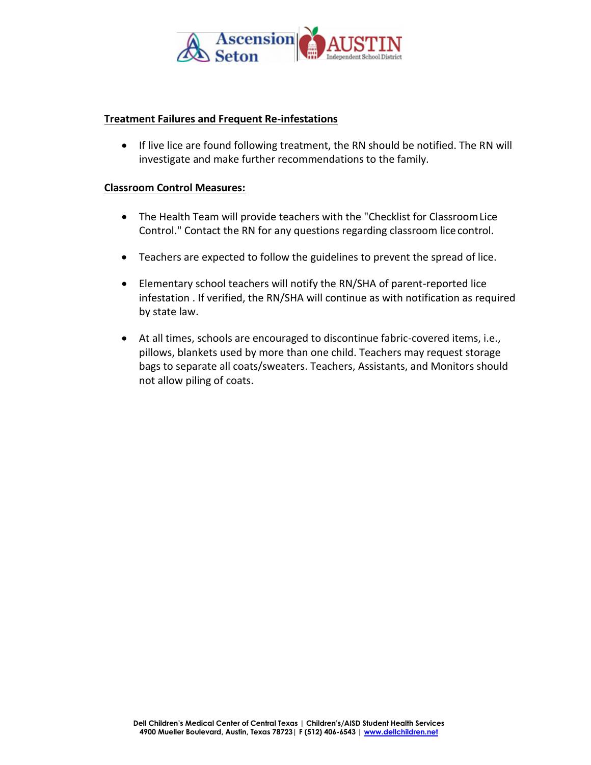

#### **Treatment Failures and Frequent Re-infestations**

• If live lice are found following treatment, the RN should be notified. The RN will investigate and make further recommendations to the family.

#### **Classroom Control Measures:**

- The Health Team will provide teachers with the "Checklist for Classroom Lice Control." Contact the RN for any questions regarding classroom lice control.
- Teachers are expected to follow the guidelines to prevent the spread of lice.
- Elementary school teachers will notify the RN/SHA of parent-reported lice infestation . If verified, the RN/SHA will continue as with notification as required by state law.
- At all times, schools are encouraged to discontinue fabric-covered items, i.e., pillows, blankets used by more than one child. Teachers may request storage bags to separate all coats/sweaters. Teachers, Assistants, and Monitors should not allow piling of coats.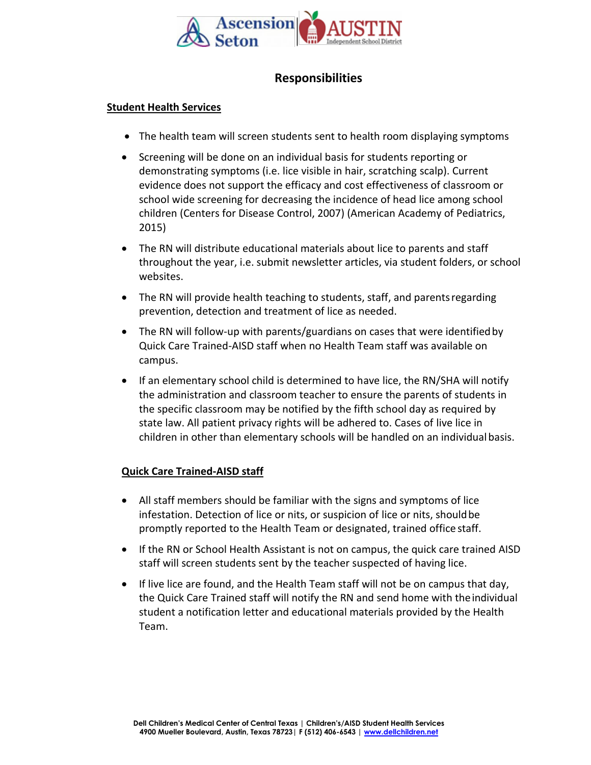

# **Responsibilities**

#### **Student Health Services**

- The health team will screen students sent to health room displaying symptoms
- Screening will be done on an individual basis for students reporting or demonstrating symptoms (i.e. lice visible in hair, scratching scalp). Current evidence does not support the efficacy and cost effectiveness of classroom or school wide screening for decreasing the incidence of head lice among school children (Centers for Disease Control, 2007) (American Academy of Pediatrics, 2015)
- The RN will distribute educational materials about lice to parents and staff throughout the year, i.e. submit newsletter articles, via student folders, or school websites.
- The RN will provide health teaching to students, staff, and parentsregarding prevention, detection and treatment of lice as needed.
- The RN will follow-up with parents/guardians on cases that were identified by Quick Care Trained-AISD staff when no Health Team staff was available on campus.
- If an elementary school child is determined to have lice, the RN/SHA will notify the administration and classroom teacher to ensure the parents of students in the specific classroom may be notified by the fifth school day as required by state law. All patient privacy rights will be adhered to. Cases of live lice in children in other than elementary schools will be handled on an individualbasis.

## **Quick Care Trained-AISD staff**

- All staff members should be familiar with the signs and symptoms of lice infestation. Detection of lice or nits, or suspicion of lice or nits, shouldbe promptly reported to the Health Team or designated, trained office staff.
- If the RN or School Health Assistant is not on campus, the quick care trained AISD staff will screen students sent by the teacher suspected of having lice.
- If live lice are found, and the Health Team staff will not be on campus that day, the Quick Care Trained staff will notify the RN and send home with theindividual student a notification letter and educational materials provided by the Health Team.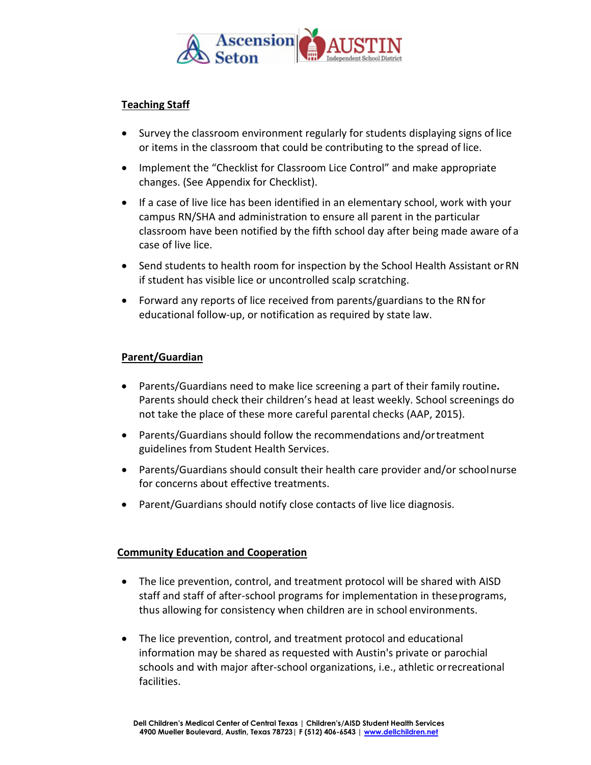

## **Teaching Staff**

- Survey the classroom environment regularly for students displaying signs of lice or items in the classroom that could be contributing to the spread of lice.
- Implement the "Checklist for Classroom Lice Control" and make appropriate changes. (See Appendix for Checklist).
- If a case of live lice has been identified in an elementary school, work with your campus RN/SHA and administration to ensure all parent in the particular classroom have been notified by the fifth school day after being made aware of a case of live lice.
- Send students to health room for inspection by the School Health Assistant orRN if student has visible lice or uncontrolled scalp scratching.
- Forward any reports of lice received from parents/guardians to the RNfor educational follow-up, or notification as required by state law.

#### **Parent/Guardian**

- Parents/Guardians need to make lice screening a part of their family routine**.** Parents should check their children's head at least weekly. School screenings do not take the place of these more careful parental checks (AAP, 2015).
- Parents/Guardians should follow the recommendations and/ortreatment guidelines from Student Health Services.
- Parents/Guardians should consult their health care provider and/or schoolnurse for concerns about effective treatments.
- Parent/Guardians should notify close contacts of live lice diagnosis.

#### **Community Education and Cooperation**

- The lice prevention, control, and treatment protocol will be shared with AISD staff and staff of after-school programs for implementation in theseprograms, thus allowing for consistency when children are in school environments.
- The lice prevention, control, and treatment protocol and educational information may be shared as requested with Austin's private or parochial schools and with major after-school organizations, i.e., athletic orrecreational facilities.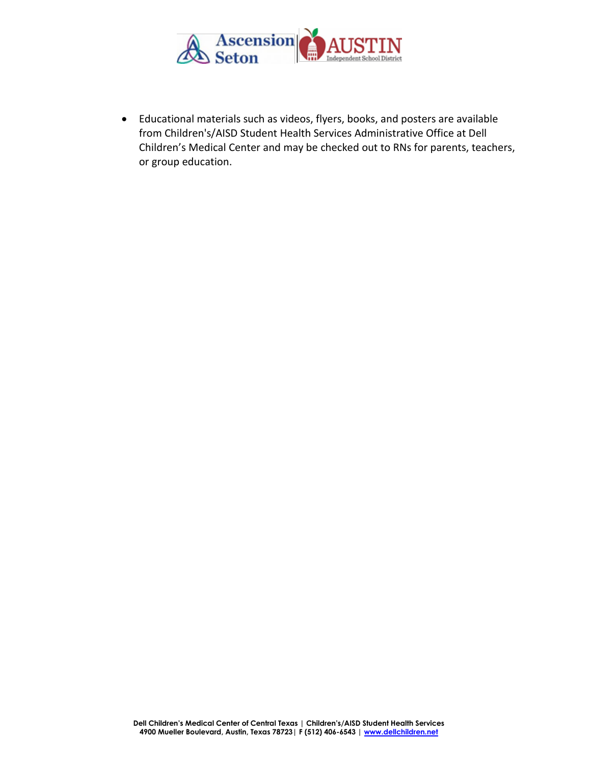

• Educational materials such as videos, flyers, books, and posters are available from Children's/AISD Student Health Services Administrative Office at Dell Children's Medical Center and may be checked out to RNs for parents, teachers, or group education.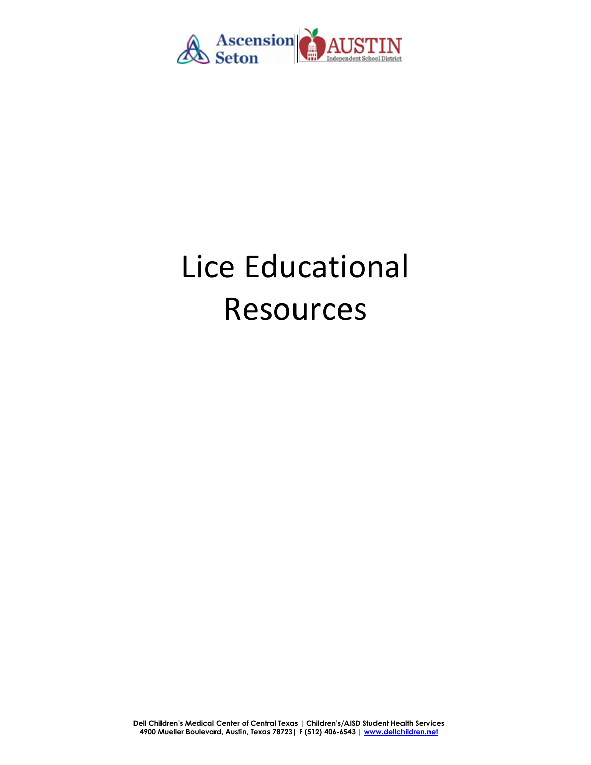

# Lice Educational Resources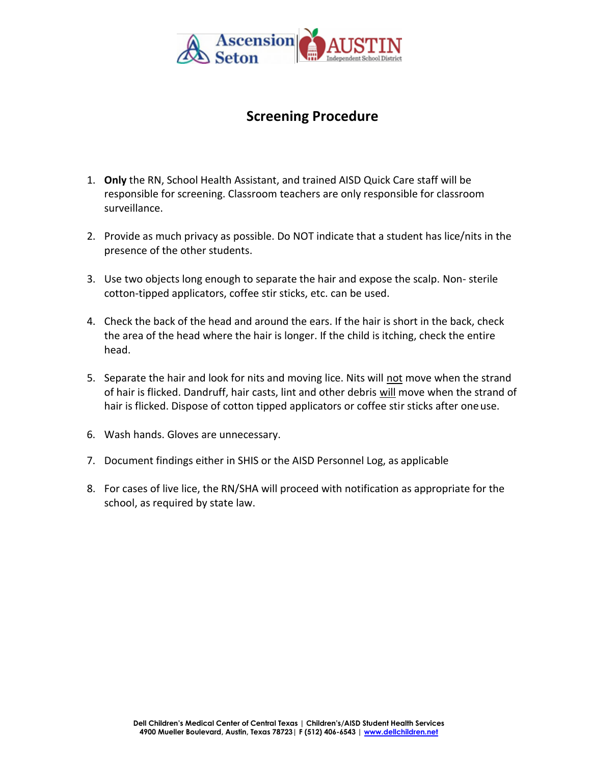

# **Screening Procedure**

- 1. **Only** the RN, School Health Assistant, and trained AISD Quick Care staff will be responsible for screening. Classroom teachers are only responsible for classroom surveillance.
- 2. Provide as much privacy as possible. Do NOT indicate that a student has lice/nits in the presence of the other students.
- 3. Use two objects long enough to separate the hair and expose the scalp. Non- sterile cotton-tipped applicators, coffee stir sticks, etc. can be used.
- 4. Check the back of the head and around the ears. If the hair is short in the back, check the area of the head where the hair is longer. If the child is itching, check the entire head.
- 5. Separate the hair and look for nits and moving lice. Nits will not move when the strand of hair is flicked. Dandruff, hair casts, lint and other debris will move when the strand of hair is flicked. Dispose of cotton tipped applicators or coffee stir sticks after oneuse.
- 6. Wash hands. Gloves are unnecessary.
- 7. Document findings either in SHIS or the AISD Personnel Log, as applicable
- 8. For cases of live lice, the RN/SHA will proceed with notification as appropriate for the school, as required by state law.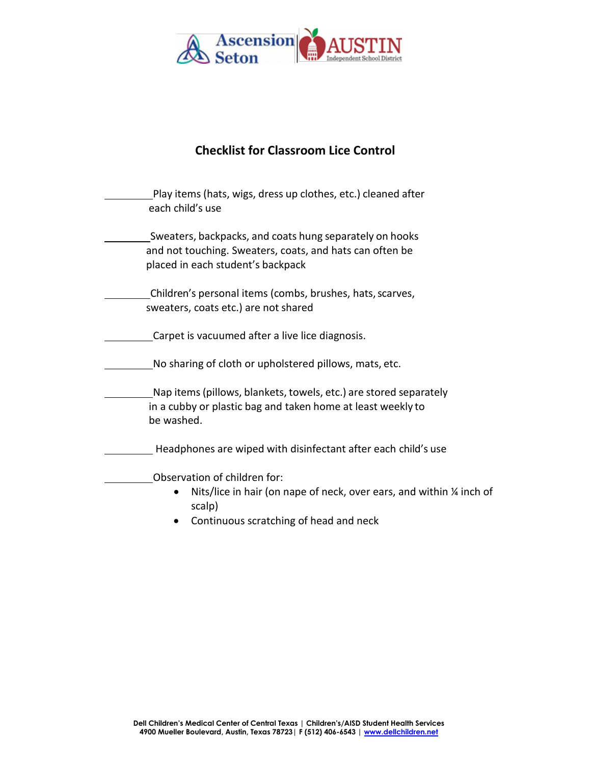

# **Checklist for Classroom Lice Control**

| Play items (hats, wigs, dress up clothes, etc.) cleaned after<br>each child's use                                                                         |  |
|-----------------------------------------------------------------------------------------------------------------------------------------------------------|--|
| Sweaters, backpacks, and coats hung separately on hooks<br>and not touching. Sweaters, coats, and hats can often be<br>placed in each student's backpack  |  |
| Children's personal items (combs, brushes, hats, scarves,<br>sweaters, coats etc.) are not shared                                                         |  |
| Carpet is vacuumed after a live lice diagnosis.                                                                                                           |  |
| No sharing of cloth or upholstered pillows, mats, etc.                                                                                                    |  |
| Nap items (pillows, blankets, towels, etc.) are stored separately<br>in a cubby or plastic bag and taken home at least weekly to<br>be washed.            |  |
| Headphones are wiped with disinfectant after each child's use                                                                                             |  |
| Observation of children for:<br>Nits/lice in hair (on nape of neck, over ears, and within 1/4 inch of<br>scalp)<br>Continuous scratching of head and neck |  |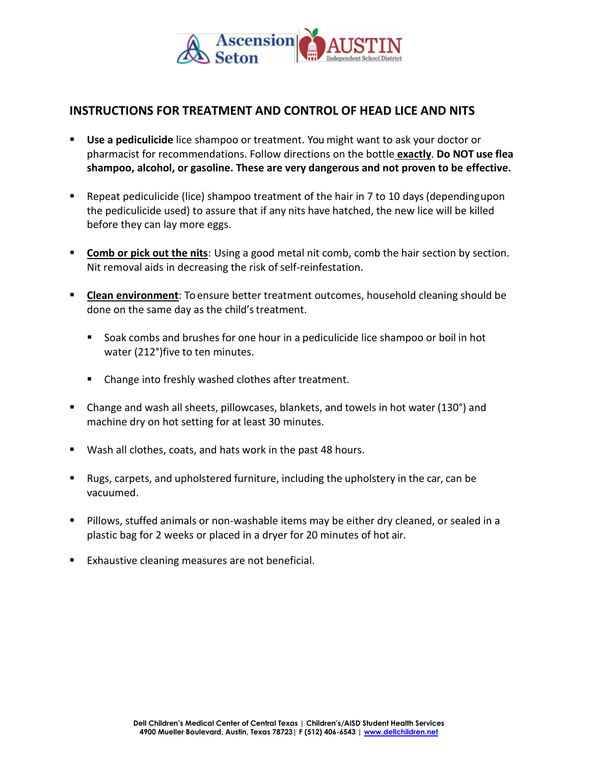

## **INSTRUCTIONS FOR TREATMENT AND CONTROL OF HEAD LICE AND NITS**

- **Use a pediculicide** lice shampoo or treatment. You might want to ask your doctor or pharmacist for recommendations. Follow directions on the bottle **exactly**. **Do NOT use flea shampoo, alcohol, or gasoline. These are very dangerous and not proven to be effective.**
- Repeat pediculicide (lice) shampoo treatment of the hair in 7 to 10 days (dependingupon the pediculicide used) to assure that if any nits have hatched, the new lice will be killed before they can lay more eggs.
- **Examb or pick out the nits**: Using a good metal nit comb, comb the hair section by section. Nit removal aids in decreasing the risk of self-reinfestation.
- **EXECTER ENVIRTIMENTED ENGINO FIGERY CONTEX IS CONTEX TO EXECTE FIGERY CONTEX CONTEX CONTEX CONTEX CONTEX CONTE** done on the same day as the child's treatment.
	- Soak combs and brushes for one hour in a pediculicide lice shampoo or boil in hot water (212°)five to ten minutes.
	- Change into freshly washed clothes after treatment.
- Change and wash all sheets, pillowcases, blankets, and towels in hot water (130°) and machine dry on hot setting for at least 30 minutes.
- Wash all clothes, coats, and hats work in the past 48 hours.
- Rugs, carpets, and upholstered furniture, including the upholstery in the car, can be vacuumed.
- Pillows, stuffed animals or non-washable items may be either dry cleaned, or sealed in a plastic bag for 2 weeks or placed in a dryer for 20 minutes of hot air.
- Exhaustive cleaning measures are not beneficial.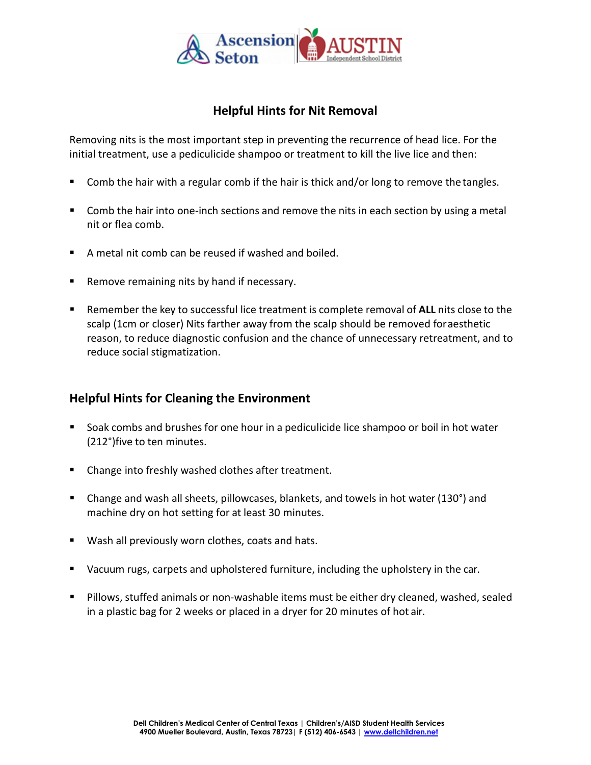

# **Helpful Hints for Nit Removal**

Removing nits is the most important step in preventing the recurrence of head lice. For the initial treatment, use a pediculicide shampoo or treatment to kill the live lice and then:

- Comb the hair with a regular comb if the hair is thick and/or long to remove the tangles.
- Comb the hair into one-inch sections and remove the nits in each section by using a metal nit or flea comb.
- A metal nit comb can be reused if washed and boiled.
- Remove remaining nits by hand if necessary.
- Remember the key to successful lice treatment is complete removal of **ALL** nits close to the scalp (1cm or closer) Nits farther away from the scalp should be removed foraesthetic reason, to reduce diagnostic confusion and the chance of unnecessary retreatment, and to reduce social stigmatization.

## **Helpful Hints for Cleaning the Environment**

- Soak combs and brushes for one hour in a pediculicide lice shampoo or boil in hot water (212°)five to ten minutes.
- Change into freshly washed clothes after treatment.
- Change and wash all sheets, pillowcases, blankets, and towels in hot water (130°) and machine dry on hot setting for at least 30 minutes.
- Wash all previously worn clothes, coats and hats.
- **■** Vacuum rugs, carpets and upholstered furniture, including the upholstery in the car.
- Pillows, stuffed animals or non-washable items must be either dry cleaned, washed, sealed in a plastic bag for 2 weeks or placed in a dryer for 20 minutes of hot air.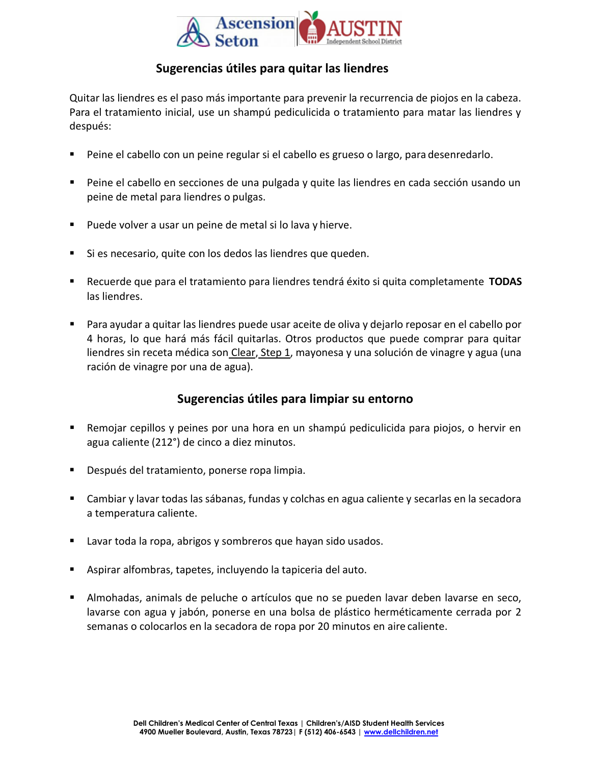

## **Sugerencias útiles para quitar las liendres**

Quitar las liendres es el paso más importante para prevenir la recurrencia de piojos en la cabeza. Para el tratamiento inicial, use un shampú pediculicida o tratamiento para matar las liendres y después:

- Peine el cabello con un peine regular si el cabello es grueso o largo, para desenredarlo.
- Peine el cabello en secciones de una pulgada y quite las liendres en cada sección usando un peine de metal para liendres o pulgas.
- Puede volver a usar un peine de metal si lo lava y hierve.
- Si es necesario, quite con los dedos las liendres que queden.
- Recuerde que para el tratamiento para liendres tendrá éxito si quita completamente **TODAS** las liendres.
- Para ayudar a quitar las liendres puede usar aceite de oliva y dejarlo reposar en el cabello por 4 horas, lo que hará más fácil quitarlas. Otros productos que puede comprar para quitar liendres sin receta médica son Clear, Step 1, mayonesa y una solución de vinagre y agua (una ración de vinagre por una de agua).

## **Sugerencias útiles para limpiar su entorno**

- Remojar cepillos y peines por una hora en un shampú pediculicida para piojos, o hervir en agua caliente (212°) de cinco a diez minutos.
- Después del tratamiento, ponerse ropa limpia.
- Cambiar y lavar todas las sábanas, fundas y colchas en agua caliente y secarlas en la secadora a temperatura caliente.
- Lavar toda la ropa, abrigos y sombreros que hayan sido usados.
- Aspirar alfombras, tapetes, incluyendo la tapiceria del auto.
- **E** Almohadas, animals de peluche o artículos que no se pueden lavar deben lavarse en seco, lavarse con agua y jabón, ponerse en una bolsa de plástico herméticamente cerrada por 2 semanas o colocarlos en la secadora de ropa por 20 minutos en aire caliente.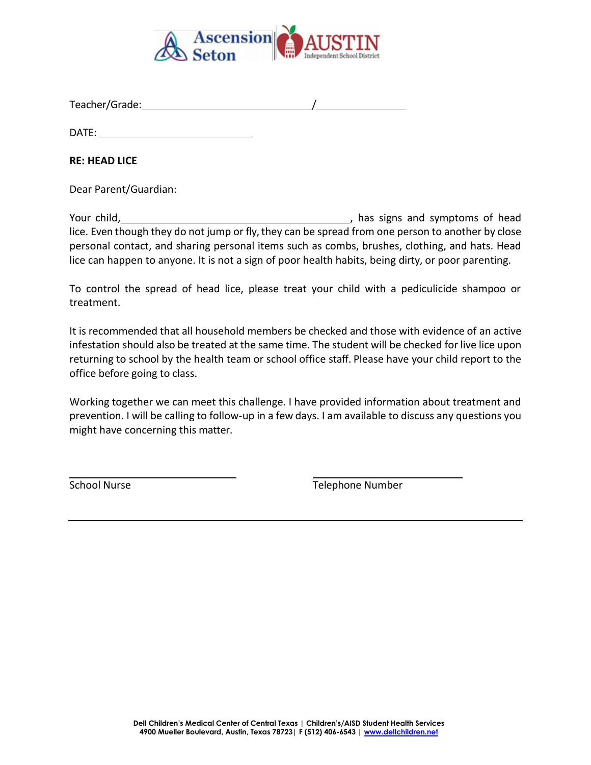

Teacher/Grade: /

DATE:

**RE: HEAD LICE**

Dear Parent/Guardian:

Your child, Manuel Allen and Superinten and symptoms of head lice. Even though they do not jump or fly, they can be spread from one person to another by close personal contact, and sharing personal items such as combs, brushes, clothing, and hats. Head lice can happen to anyone. It is not a sign of poor health habits, being dirty, or poor parenting.

To control the spread of head lice, please treat your child with a pediculicide shampoo or treatment.

It is recommended that all household members be checked and those with evidence of an active infestation should also be treated at the same time. The student will be checked for live lice upon returning to school by the health team or school office staff. Please have your child report to the office before going to class.

Working together we can meet this challenge. I have provided information about treatment and prevention. I will be calling to follow-up in a few days. I am available to discuss any questions you might have concerning this matter.

School Nurse **Telephone Number** Telephone Number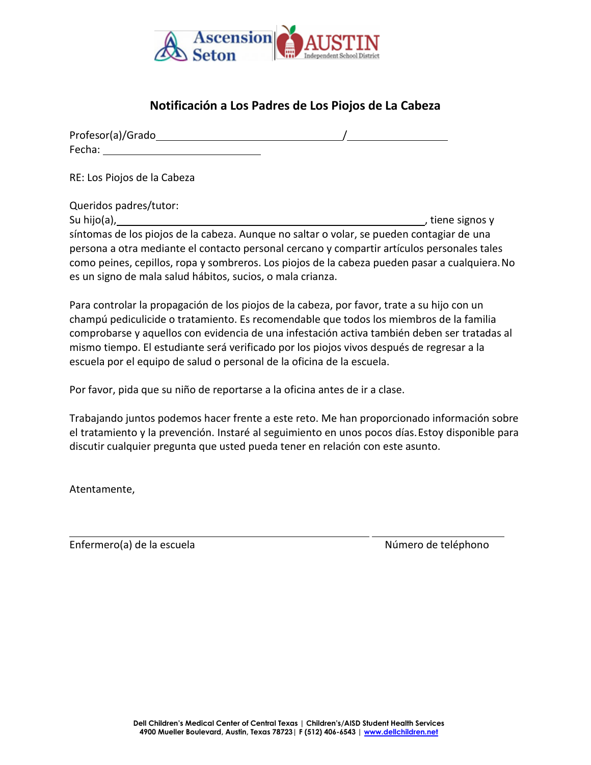

# **Notificación a Los Padres de Los Piojos de La Cabeza**

| Profesor(a)/Grado |  |  |
|-------------------|--|--|
| Fecha:            |  |  |

RE: Los Piojos de la Cabeza

Queridos padres/tutor:

Su hijo(a), , and the signos y state of the signos y state of the signos y state of the signos y state of the signos y síntomas de los piojos de la cabeza. Aunque no saltar o volar, se pueden contagiar de una persona a otra mediante el contacto personal cercano y compartir artículos personales tales como peines, cepillos, ropa y sombreros. Los piojos de la cabeza pueden pasar a cualquiera.No es un signo de mala salud hábitos, sucios, o mala crianza.

Para controlar la propagación de los piojos de la cabeza, por favor, trate a su hijo con un champú pediculicide o tratamiento. Es recomendable que todos los miembros de la familia comprobarse y aquellos con evidencia de una infestación activa también deben ser tratadas al mismo tiempo. El estudiante será verificado por los piojos vivos después de regresar a la escuela por el equipo de salud o personal de la oficina de la escuela.

Por favor, pida que su niño de reportarse a la oficina antes de ir a clase.

Trabajando juntos podemos hacer frente a este reto. Me han proporcionado información sobre el tratamiento y la prevención. Instaré al seguimiento en unos pocos días.Estoy disponible para discutir cualquier pregunta que usted pueda tener en relación con este asunto.

Atentamente,

Enfermero(a) de la escuela Número de teléphono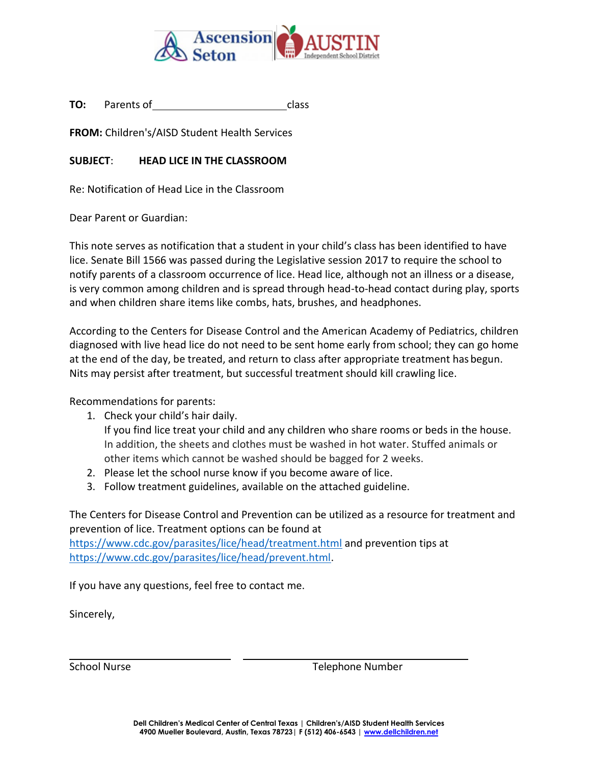

**TO:** Parents of class

**FROM:** Children's/AISD Student Health Services

## **SUBJECT**: **HEAD LICE IN THE CLASSROOM**

Re: Notification of Head Lice in the Classroom

Dear Parent or Guardian:

This note serves as notification that a student in your child's class has been identified to have lice. Senate Bill 1566 was passed during the Legislative session 2017 to require the school to notify parents of a classroom occurrence of lice. Head lice, although not an illness or a disease, is very common among children and is spread through head-to-head contact during play, sports and when children share items like combs, hats, brushes, and headphones.

According to the Centers for Disease Control and the American Academy of Pediatrics, children diagnosed with live head lice do not need to be sent home early from school; they can go home at the end of the day, be treated, and return to class after appropriate treatment has begun. Nits may persist after treatment, but successful treatment should kill crawling lice.

Recommendations for parents:

1. Check your child's hair daily.

If you find lice treat your child and any children who share rooms or beds in the house. In addition, the sheets and clothes must be washed in hot water. Stuffed animals or other items which cannot be washed should be bagged for 2 weeks.

- 2. Please let the school nurse know if you become aware of lice.
- 3. Follow treatment guidelines, available on the attached guideline.

The Centers for Disease Control and Prevention can be utilized as a resource for treatment and prevention of lice. Treatment options can be found at

<https://www.cdc.gov/parasites/lice/head/treatment.html> and prevention tips at [https://www.cdc.gov/parasites/lice/head/prevent.html.](https://www.cdc.gov/parasites/lice/head/prevent.html)

If you have any questions, feel free to contact me.

Sincerely,

School Nurse Telephone Number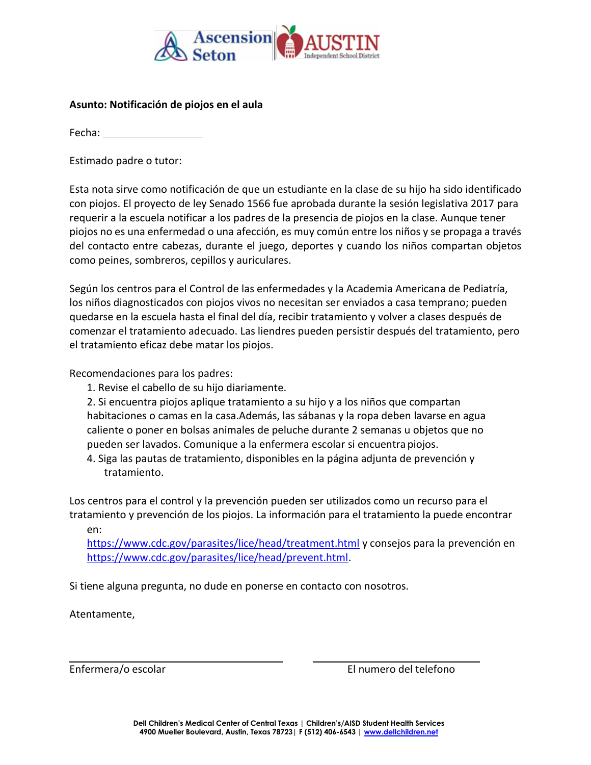

#### **Asunto: Notificación de piojos en el aula**

Fecha:

Estimado padre o tutor:

Esta nota sirve como notificación de que un estudiante en la clase de su hijo ha sido identificado con piojos. El proyecto de ley Senado 1566 fue aprobada durante la sesión legislativa 2017 para requerir a la escuela notificar a los padres de la presencia de piojos en la clase. Aunque tener piojos no es una enfermedad o una afección, es muy común entre los niños y se propaga a través del contacto entre cabezas, durante el juego, deportes y cuando los niños compartan objetos como peines, sombreros, cepillos y auriculares.

Según los centros para el Control de las enfermedades y la Academia Americana de Pediatría, los niños diagnosticados con piojos vivos no necesitan ser enviados a casa temprano; pueden quedarse en la escuela hasta el final del día, recibir tratamiento y volver a clases después de comenzar el tratamiento adecuado. Las liendres pueden persistir después del tratamiento, pero el tratamiento eficaz debe matar los piojos.

Recomendaciones para los padres:

1. Revise el cabello de su hijo diariamente.

2. Si encuentra piojos aplique tratamiento a su hijo y a los niños que compartan habitaciones o camas en la casa.Además, las sábanas y la ropa deben lavarse en agua caliente o poner en bolsas animales de peluche durante 2 semanas u objetos que no pueden ser lavados. Comunique a la enfermera escolar si encuentra piojos.

4. Siga las pautas de tratamiento, disponibles en la página adjunta de prevención y tratamiento.

Los centros para el control y la prevención pueden ser utilizados como un recurso para el tratamiento y prevención de los piojos. La información para el tratamiento la puede encontrar en:

<https://www.cdc.gov/parasites/lice/head/treatment.html> y consejos para la prevención en [https://www.cdc.gov/parasites/lice/head/prevent.html.](https://www.cdc.gov/parasites/lice/head/prevent.html)

Si tiene alguna pregunta, no dude en ponerse en contacto con nosotros.

Atentamente,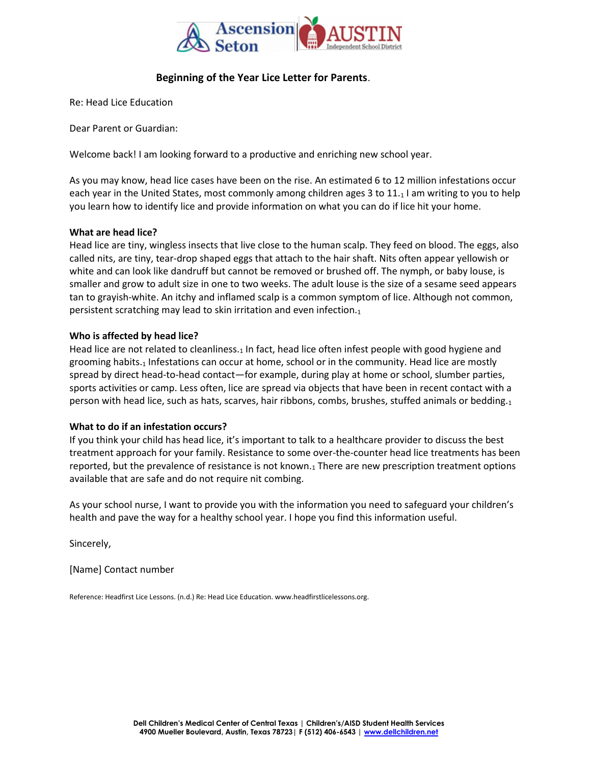

#### **Beginning of the Year Lice Letter for Parents**.

Re: Head Lice Education

Dear Parent or Guardian:

Welcome back! I am looking forward to a productive and enriching new school year.

As you may know, head lice cases have been on the rise. An estimated 6 to 12 million infestations occur each year in the United States, most commonly among children ages 3 to 11.1 I am writing to you to help you learn how to identify lice and provide information on what you can do if lice hit your home.

#### **What are head lice?**

Head lice are tiny, wingless insects that live close to the human scalp. They feed on blood. The eggs, also called nits, are tiny, tear-drop shaped eggs that attach to the hair shaft. Nits often appear yellowish or white and can look like dandruff but cannot be removed or brushed off. The nymph, or baby louse, is smaller and grow to adult size in one to two weeks. The adult louse is the size of a sesame seed appears tan to grayish-white. An itchy and inflamed scalp is a common symptom of lice. Although not common, persistent scratching may lead to skin irritation and even infection.<sup>1</sup>

#### **Who is affected by head lice?**

Head lice are not related to cleanliness.<sub>1</sub> In fact, head lice often infest people with good hygiene and grooming habits.<sub>1</sub> Infestations can occur at home, school or in the community. Head lice are mostly spread by direct head-to-head contact—for example, during play at home or school, slumber parties, sports activities or camp. Less often, lice are spread via objects that have been in recent contact with a person with head lice, such as hats, scarves, hair ribbons, combs, brushes, stuffed animals or bedding.<sup>1</sup>

#### **What to do if an infestation occurs?**

If you think your child has head lice, it's important to talk to a healthcare provider to discuss the best treatment approach for your family. Resistance to some over-the-counter head lice treatments has been reported, but the prevalence of resistance is not known.<sup>1</sup> There are new prescription treatment options available that are safe and do not require nit combing.

As your school nurse, I want to provide you with the information you need to safeguard your children's health and pave the way for a healthy school year. I hope you find this information useful.

Sincerely,

[Name] Contact number

Reference: Headfirst Lice Lessons. (n.d.) Re: Head Lice Education[. www.headfirstlicelessons.org.](http://www.headfirstlicelessons.org/)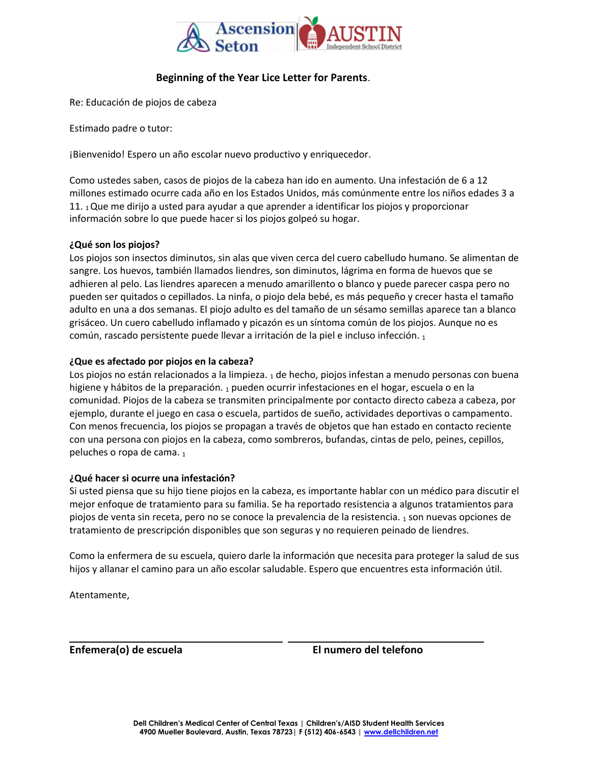

#### **Beginning of the Year Lice Letter for Parents**.

Re: Educación de piojos de cabeza

Estimado padre o tutor:

¡Bienvenido! Espero un año escolar nuevo productivo y enriquecedor.

Como ustedes saben, casos de piojos de la cabeza han ido en aumento. Una infestación de 6 a 12 millones estimado ocurre cada año en los Estados Unidos, más comúnmente entre los niños edades 3 a 11.  $1$ Que me dirijo a usted para ayudar a que aprender a identificar los piojos y proporcionar información sobre lo que puede hacer si los piojos golpeó su hogar.

#### **¿Qué son los piojos?**

Los piojos son insectos diminutos, sin alas que viven cerca del cuero cabelludo humano. Se alimentan de sangre. Los huevos, también llamados liendres, son diminutos, lágrima en forma de huevos que se adhieren al pelo. Las liendres aparecen a menudo amarillento o blanco y puede parecer caspa pero no pueden ser quitados o cepillados. La ninfa, o piojo dela bebé, es más pequeño y crecer hasta el tamaño adulto en una a dos semanas. El piojo adulto es del tamaño de un sésamo semillas aparece tan a blanco grisáceo. Un cuero cabelludo inflamado y picazón es un síntoma común de los piojos. Aunque no es común, rascado persistente puede llevar a irritación de la piel e incluso infección. <sup>1</sup>

#### **¿Que es afectado por piojos en la cabeza?**

Los piojos no están relacionados a la limpieza.  $_1$  de hecho, piojos infestan a menudo personas con buena higiene y hábitos de la preparación. 1 pueden ocurrir infestaciones en el hogar, escuela o en la comunidad. Piojos de la cabeza se transmiten principalmente por contacto directo cabeza a cabeza, por ejemplo, durante el juego en casa o escuela, partidos de sueño, actividades deportivas o campamento. Con menos frecuencia, los piojos se propagan a través de objetos que han estado en contacto reciente con una persona con piojos en la cabeza, como sombreros, bufandas, cintas de pelo, peines, cepillos, peluches o ropa de cama. 1

#### **¿Qué hacer si ocurre una infestación?**

Si usted piensa que su hijo tiene piojos en la cabeza, es importante hablar con un médico para discutir el mejor enfoque de tratamiento para su familia. Se ha reportado resistencia a algunos tratamientos para piojos de venta sin receta, pero no se conoce la prevalencia de la resistencia. <sup>1</sup> son nuevas opciones de tratamiento de prescripción disponibles que son seguras y no requieren peinado de liendres.

Como la enfermera de su escuela, quiero darle la información que necesita para proteger la salud de sus hijos y allanar el camino para un año escolar saludable. Espero que encuentres esta información útil.

Atentamente,

**Enfemera(o) de escuela El numero del telefono**